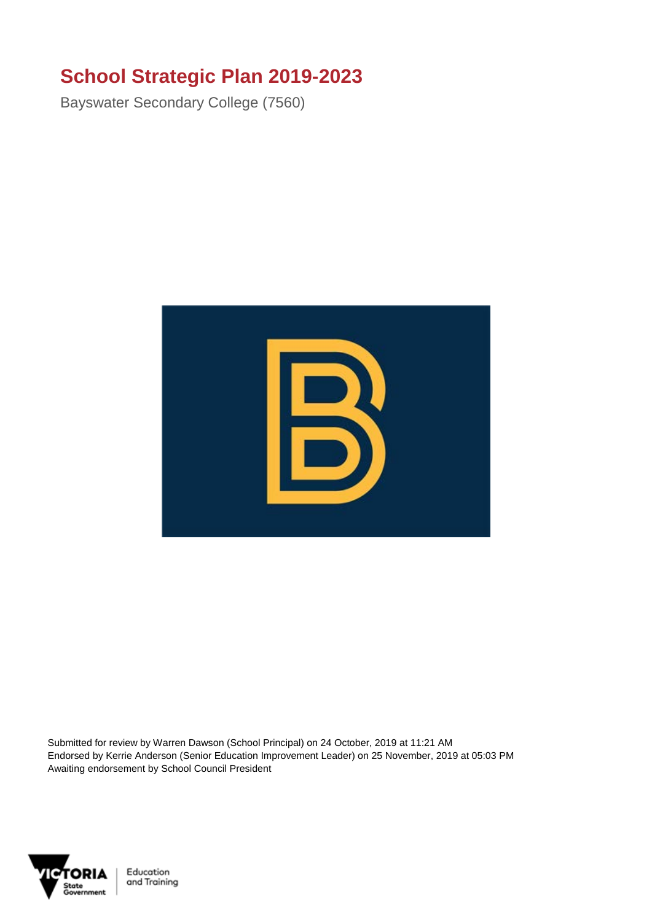## **School Strategic Plan 2019-2023**

Bayswater Secondary College (7560)



Submitted for review by Warren Dawson (School Principal) on 24 October, 2019 at 11:21 AM Endorsed by Kerrie Anderson (Senior Education Improvement Leader) on 25 November, 2019 at 05:03 PM Awaiting endorsement by School Council President

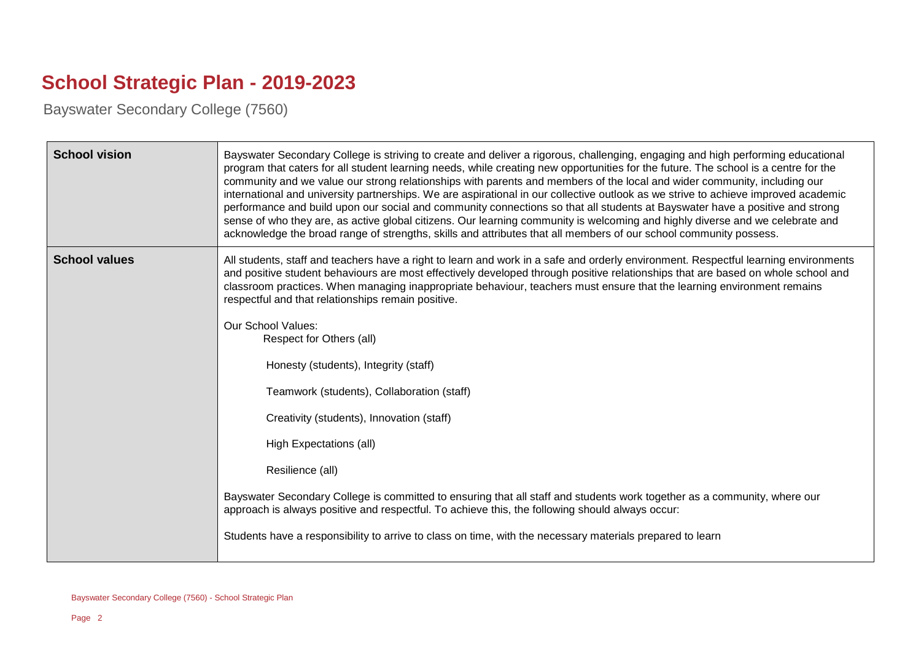## **School Strategic Plan - 2019-2023**

Bayswater Secondary College (7560)

| <b>School vision</b> | Bayswater Secondary College is striving to create and deliver a rigorous, challenging, engaging and high performing educational<br>program that caters for all student learning needs, while creating new opportunities for the future. The school is a centre for the<br>community and we value our strong relationships with parents and members of the local and wider community, including our<br>international and university partnerships. We are aspirational in our collective outlook as we strive to achieve improved academic<br>performance and build upon our social and community connections so that all students at Bayswater have a positive and strong<br>sense of who they are, as active global citizens. Our learning community is welcoming and highly diverse and we celebrate and<br>acknowledge the broad range of strengths, skills and attributes that all members of our school community possess. |
|----------------------|--------------------------------------------------------------------------------------------------------------------------------------------------------------------------------------------------------------------------------------------------------------------------------------------------------------------------------------------------------------------------------------------------------------------------------------------------------------------------------------------------------------------------------------------------------------------------------------------------------------------------------------------------------------------------------------------------------------------------------------------------------------------------------------------------------------------------------------------------------------------------------------------------------------------------------|
| <b>School values</b> | All students, staff and teachers have a right to learn and work in a safe and orderly environment. Respectful learning environments<br>and positive student behaviours are most effectively developed through positive relationships that are based on whole school and<br>classroom practices. When managing inappropriate behaviour, teachers must ensure that the learning environment remains<br>respectful and that relationships remain positive.                                                                                                                                                                                                                                                                                                                                                                                                                                                                        |
|                      | <b>Our School Values:</b><br>Respect for Others (all)                                                                                                                                                                                                                                                                                                                                                                                                                                                                                                                                                                                                                                                                                                                                                                                                                                                                          |
|                      | Honesty (students), Integrity (staff)                                                                                                                                                                                                                                                                                                                                                                                                                                                                                                                                                                                                                                                                                                                                                                                                                                                                                          |
|                      | Teamwork (students), Collaboration (staff)                                                                                                                                                                                                                                                                                                                                                                                                                                                                                                                                                                                                                                                                                                                                                                                                                                                                                     |
|                      | Creativity (students), Innovation (staff)                                                                                                                                                                                                                                                                                                                                                                                                                                                                                                                                                                                                                                                                                                                                                                                                                                                                                      |
|                      | High Expectations (all)                                                                                                                                                                                                                                                                                                                                                                                                                                                                                                                                                                                                                                                                                                                                                                                                                                                                                                        |
|                      | Resilience (all)                                                                                                                                                                                                                                                                                                                                                                                                                                                                                                                                                                                                                                                                                                                                                                                                                                                                                                               |
|                      | Bayswater Secondary College is committed to ensuring that all staff and students work together as a community, where our<br>approach is always positive and respectful. To achieve this, the following should always occur:                                                                                                                                                                                                                                                                                                                                                                                                                                                                                                                                                                                                                                                                                                    |
|                      | Students have a responsibility to arrive to class on time, with the necessary materials prepared to learn                                                                                                                                                                                                                                                                                                                                                                                                                                                                                                                                                                                                                                                                                                                                                                                                                      |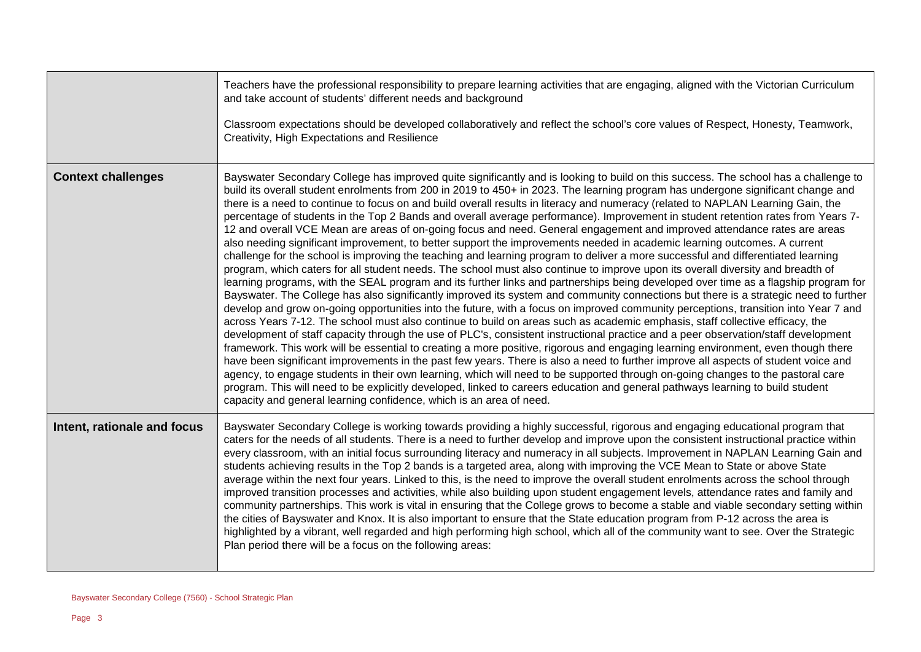|                             | Teachers have the professional responsibility to prepare learning activities that are engaging, aligned with the Victorian Curriculum<br>and take account of students' different needs and background                                                                                                                                                                                                                                                                                                                                                                                                                                                                                                                                                                                                                                                                                                                                                                                                                                                                                                                                                                                                                                                                                                                                                                                                                                                                                                                                                                                                                                                                                                                                                                                                                                                                                                                                                                                                                                                                                                                                                                                                                                                                                                                                                                                             |
|-----------------------------|---------------------------------------------------------------------------------------------------------------------------------------------------------------------------------------------------------------------------------------------------------------------------------------------------------------------------------------------------------------------------------------------------------------------------------------------------------------------------------------------------------------------------------------------------------------------------------------------------------------------------------------------------------------------------------------------------------------------------------------------------------------------------------------------------------------------------------------------------------------------------------------------------------------------------------------------------------------------------------------------------------------------------------------------------------------------------------------------------------------------------------------------------------------------------------------------------------------------------------------------------------------------------------------------------------------------------------------------------------------------------------------------------------------------------------------------------------------------------------------------------------------------------------------------------------------------------------------------------------------------------------------------------------------------------------------------------------------------------------------------------------------------------------------------------------------------------------------------------------------------------------------------------------------------------------------------------------------------------------------------------------------------------------------------------------------------------------------------------------------------------------------------------------------------------------------------------------------------------------------------------------------------------------------------------------------------------------------------------------------------------------------------------|
|                             | Classroom expectations should be developed collaboratively and reflect the school's core values of Respect, Honesty, Teamwork,<br>Creativity, High Expectations and Resilience                                                                                                                                                                                                                                                                                                                                                                                                                                                                                                                                                                                                                                                                                                                                                                                                                                                                                                                                                                                                                                                                                                                                                                                                                                                                                                                                                                                                                                                                                                                                                                                                                                                                                                                                                                                                                                                                                                                                                                                                                                                                                                                                                                                                                    |
| <b>Context challenges</b>   | Bayswater Secondary College has improved quite significantly and is looking to build on this success. The school has a challenge to<br>build its overall student enrolments from 200 in 2019 to 450+ in 2023. The learning program has undergone significant change and<br>there is a need to continue to focus on and build overall results in literacy and numeracy (related to NAPLAN Learning Gain, the<br>percentage of students in the Top 2 Bands and overall average performance). Improvement in student retention rates from Years 7-<br>12 and overall VCE Mean are areas of on-going focus and need. General engagement and improved attendance rates are areas<br>also needing significant improvement, to better support the improvements needed in academic learning outcomes. A current<br>challenge for the school is improving the teaching and learning program to deliver a more successful and differentiated learning<br>program, which caters for all student needs. The school must also continue to improve upon its overall diversity and breadth of<br>learning programs, with the SEAL program and its further links and partnerships being developed over time as a flagship program for<br>Bayswater. The College has also significantly improved its system and community connections but there is a strategic need to further<br>develop and grow on-going opportunities into the future, with a focus on improved community perceptions, transition into Year 7 and<br>across Years 7-12. The school must also continue to build on areas such as academic emphasis, staff collective efficacy, the<br>development of staff capacity through the use of PLC's, consistent instructional practice and a peer observation/staff development<br>framework. This work will be essential to creating a more positive, rigorous and engaging learning environment, even though there<br>have been significant improvements in the past few years. There is also a need to further improve all aspects of student voice and<br>agency, to engage students in their own learning, which will need to be supported through on-going changes to the pastoral care<br>program. This will need to be explicitly developed, linked to careers education and general pathways learning to build student<br>capacity and general learning confidence, which is an area of need. |
| Intent, rationale and focus | Bayswater Secondary College is working towards providing a highly successful, rigorous and engaging educational program that<br>caters for the needs of all students. There is a need to further develop and improve upon the consistent instructional practice within<br>every classroom, with an initial focus surrounding literacy and numeracy in all subjects. Improvement in NAPLAN Learning Gain and<br>students achieving results in the Top 2 bands is a targeted area, along with improving the VCE Mean to State or above State<br>average within the next four years. Linked to this, is the need to improve the overall student enrolments across the school through<br>improved transition processes and activities, while also building upon student engagement levels, attendance rates and family and<br>community partnerships. This work is vital in ensuring that the College grows to become a stable and viable secondary setting within<br>the cities of Bayswater and Knox. It is also important to ensure that the State education program from P-12 across the area is<br>highlighted by a vibrant, well regarded and high performing high school, which all of the community want to see. Over the Strategic<br>Plan period there will be a focus on the following areas:                                                                                                                                                                                                                                                                                                                                                                                                                                                                                                                                                                                                                                                                                                                                                                                                                                                                                                                                                                                                                                                                                              |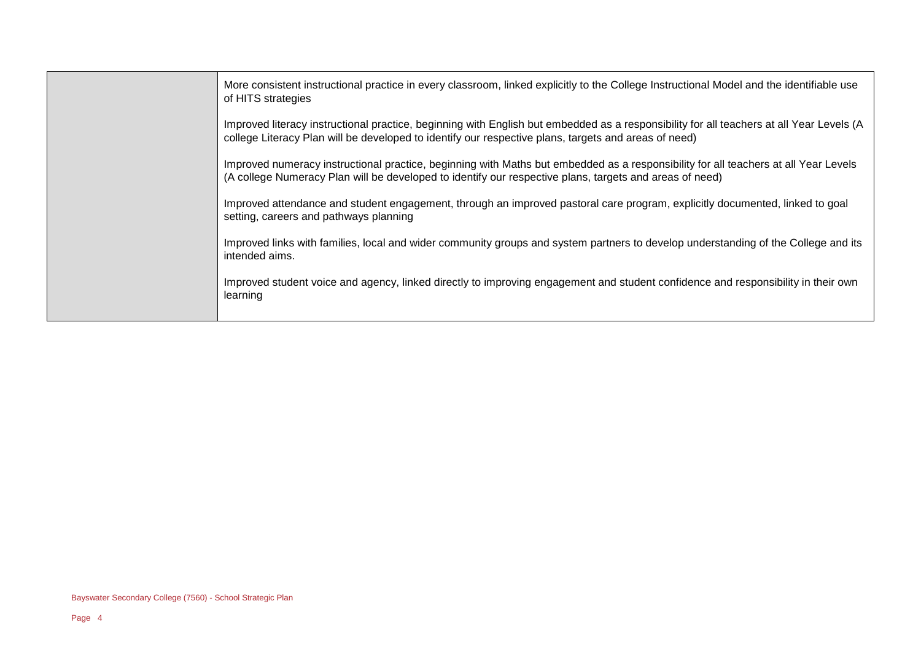| More consistent instructional practice in every classroom, linked explicitly to the College Instructional Model and the identifiable use<br>of HITS strategies                                                                                   |
|--------------------------------------------------------------------------------------------------------------------------------------------------------------------------------------------------------------------------------------------------|
| Improved literacy instructional practice, beginning with English but embedded as a responsibility for all teachers at all Year Levels (A<br>college Literacy Plan will be developed to identify our respective plans, targets and areas of need) |
| Improved numeracy instructional practice, beginning with Maths but embedded as a responsibility for all teachers at all Year Levels<br>(A college Numeracy Plan will be developed to identify our respective plans, targets and areas of need)   |
| Improved attendance and student engagement, through an improved pastoral care program, explicitly documented, linked to goal<br>setting, careers and pathways planning                                                                           |
| Improved links with families, local and wider community groups and system partners to develop understanding of the College and its<br>intended aims.                                                                                             |
| Improved student voice and agency, linked directly to improving engagement and student confidence and responsibility in their own<br>learning                                                                                                    |
|                                                                                                                                                                                                                                                  |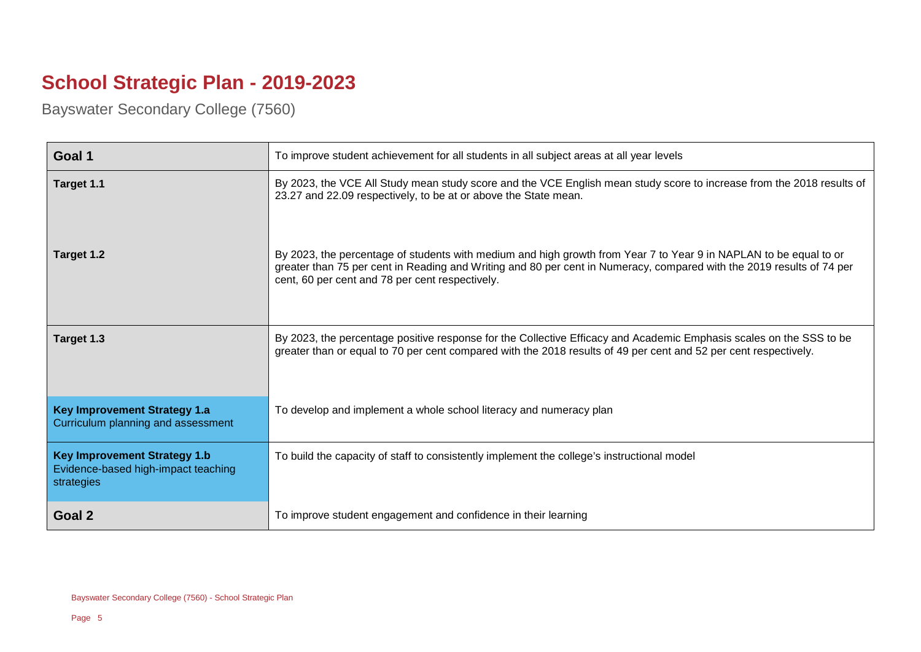## **School Strategic Plan - 2019-2023**

Bayswater Secondary College (7560)

| Goal 1                                                                                   | To improve student achievement for all students in all subject areas at all year levels                                                                                                                                                                                                       |
|------------------------------------------------------------------------------------------|-----------------------------------------------------------------------------------------------------------------------------------------------------------------------------------------------------------------------------------------------------------------------------------------------|
| Target 1.1                                                                               | By 2023, the VCE All Study mean study score and the VCE English mean study score to increase from the 2018 results of<br>23.27 and 22.09 respectively, to be at or above the State mean.                                                                                                      |
| Target 1.2                                                                               | By 2023, the percentage of students with medium and high growth from Year 7 to Year 9 in NAPLAN to be equal to or<br>greater than 75 per cent in Reading and Writing and 80 per cent in Numeracy, compared with the 2019 results of 74 per<br>cent, 60 per cent and 78 per cent respectively. |
| Target 1.3                                                                               | By 2023, the percentage positive response for the Collective Efficacy and Academic Emphasis scales on the SSS to be<br>greater than or equal to 70 per cent compared with the 2018 results of 49 per cent and 52 per cent respectively.                                                       |
| <b>Key Improvement Strategy 1.a</b><br>Curriculum planning and assessment                | To develop and implement a whole school literacy and numeracy plan                                                                                                                                                                                                                            |
| <b>Key Improvement Strategy 1.b</b><br>Evidence-based high-impact teaching<br>strategies | To build the capacity of staff to consistently implement the college's instructional model                                                                                                                                                                                                    |
| Goal 2                                                                                   | To improve student engagement and confidence in their learning                                                                                                                                                                                                                                |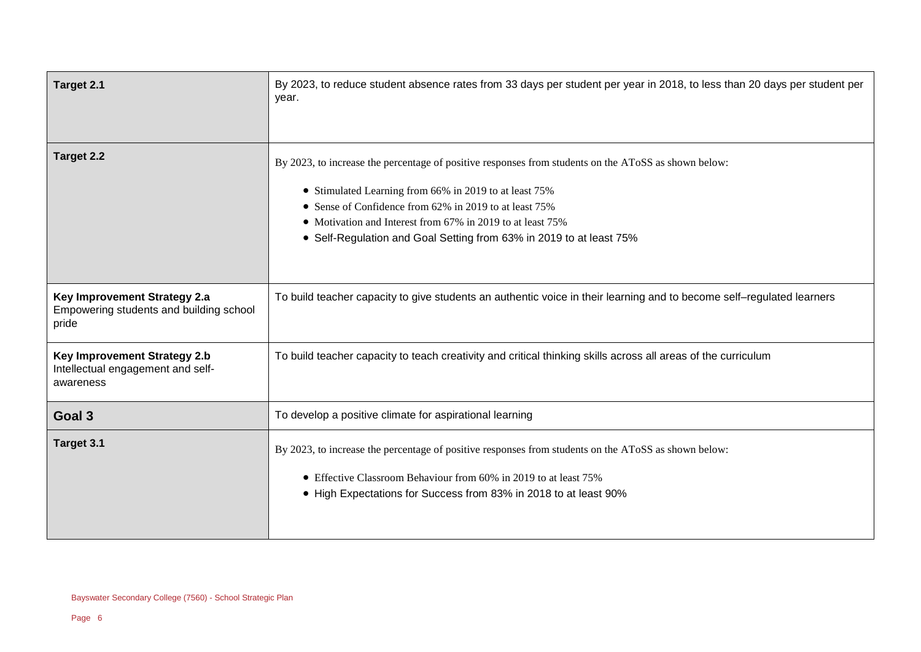| Target 2.1                                                                            | By 2023, to reduce student absence rates from 33 days per student per year in 2018, to less than 20 days per student per<br>year.                                                                                                                                                                                                                             |
|---------------------------------------------------------------------------------------|---------------------------------------------------------------------------------------------------------------------------------------------------------------------------------------------------------------------------------------------------------------------------------------------------------------------------------------------------------------|
| Target 2.2                                                                            | By 2023, to increase the percentage of positive responses from students on the AToSS as shown below:<br>• Stimulated Learning from 66% in 2019 to at least 75%<br>• Sense of Confidence from 62% in 2019 to at least 75%<br>• Motivation and Interest from 67% in 2019 to at least 75%<br>• Self-Regulation and Goal Setting from 63% in 2019 to at least 75% |
| Key Improvement Strategy 2.a<br>Empowering students and building school<br>pride      | To build teacher capacity to give students an authentic voice in their learning and to become self–regulated learners                                                                                                                                                                                                                                         |
| <b>Key Improvement Strategy 2.b</b><br>Intellectual engagement and self-<br>awareness | To build teacher capacity to teach creativity and critical thinking skills across all areas of the curriculum                                                                                                                                                                                                                                                 |
| Goal 3                                                                                | To develop a positive climate for aspirational learning                                                                                                                                                                                                                                                                                                       |
| Target 3.1                                                                            | By 2023, to increase the percentage of positive responses from students on the AToSS as shown below:<br>• Effective Classroom Behaviour from 60% in 2019 to at least 75%<br>• High Expectations for Success from 83% in 2018 to at least 90%                                                                                                                  |